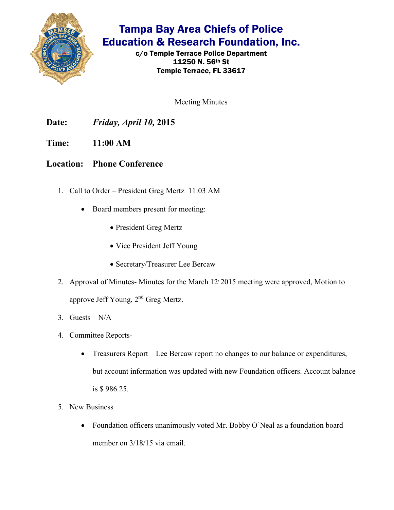

## Tampa Bay Area Chiefs of Police Education & Research Foundation, Inc.

c/o Temple Terrace Police Department 11250 N. 56th St Temple Terrace, FL 33617

Meeting Minutes

**Date:** *Friday, April 10,* **2015** 

**Time: 11:00 AM** 

**Location: Phone Conference** 

- 1. Call to Order President Greg Mertz 11:03 AM
	- Board members present for meeting:
		- President Greg Mertz
		- Vice President Jeff Young
		- Secretary/Treasurer Lee Bercaw
- 2. Approval of Minutes- Minutes for the March 12, 2015 meeting were approved, Motion to approve Jeff Young, 2<sup>nd</sup> Greg Mertz.
- 3. Guests  $N/A$
- 4. Committee Reports-
	- Treasurers Report Lee Bercaw report no changes to our balance or expenditures, but account information was updated with new Foundation officers. Account balance is \$ 986.25.
- 5. New Business
	- Foundation officers unanimously voted Mr. Bobby O'Neal as a foundation board member on  $3/18/15$  via email.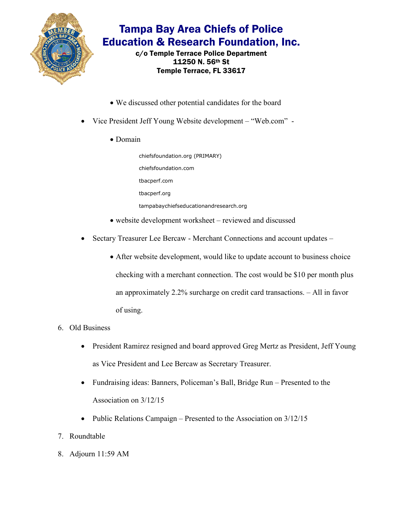

## Tampa Bay Area Chiefs of Police Education & Research Foundation, Inc.

c/o Temple Terrace Police Department 11250 N. 56th St Temple Terrace, FL 33617

- We discussed other potential candidates for the board
- Vice President Jeff Young Website development "Web.com"
	- Domain

chiefsfoundation.org (PRIMARY) chiefsfoundation.com tbacperf.com tbacperf.org tampabaychiefseducationandresearch.org

- website development worksheet reviewed and discussed
- Sectary Treasurer Lee Bercaw Merchant Connections and account updates
	- After website development, would like to update account to business choice checking with a merchant connection. The cost would be \$10 per month plus an approximately 2.2% surcharge on credit card transactions. – All in favor of using.
- 6. Old Business
	- President Ramirez resigned and board approved Greg Mertz as President, Jeff Young as Vice President and Lee Bercaw as Secretary Treasurer.
	- Fundraising ideas: Banners, Policeman's Ball, Bridge Run Presented to the Association on 3/12/15
	- Public Relations Campaign Presented to the Association on  $3/12/15$
- 7. Roundtable
- 8. Adjourn 11:59 AM